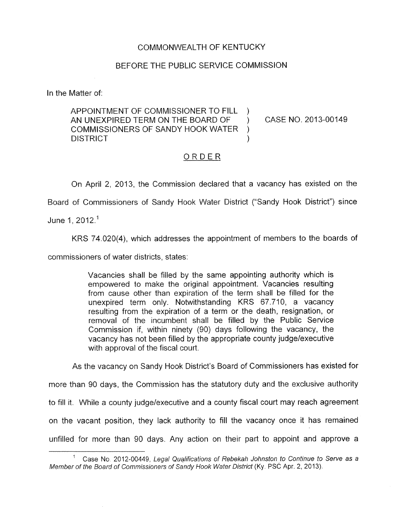## COMMONWEALTH OF KENTUCKY

## BEFORE THE PUBLIC SERVICE COMMISSION

In the Matter of:

APPOINTMENT OF COMMISSIONER TO FILL ) COMMISSIONERS OF SANDY HOOK WATER ) DISTRICT ) AN UNEXPIRED TERM ON THE BOARD OF ) CASE NO. 2013-00149

## ORDER

On April 2, 2013, the Commission declared that a vacancy has existed on the

Board of Commissioners of Sandy Hook Water District ("Sandy Hook District") since

June I, 2012.'

KRS 74.020(4), which addresses the appointment of members to the boards of

commissioners of water districts, states:

Vacancies shall be filled by the same appointing authority which is empowered to make the original appointment. Vacancies resulting from cause other than expiration of the term shall be filled for the unexpired term only. Notwithstanding KRS 67.710, a vacancy resulting from the expiration of a term or the death, resignation, or removal of the incumbent shall be filled by the Public Service Commission if, within ninety (90) days following the vacancy, the vacancy has not been filled by the appropriate county judge/executive with approval of the fiscal court.

As the vacancy on Sandy Hook District's Board of Commissioners has existed for

more than 90 days, the Commission has the statutory duty and the exclusive authority

to fill it. While a county judge/executive and a county fiscal court may reach agreement

on the vacant position, they lack authority to fill the vacancy once it has remained

unfilled for more than 90 days. Any action on their part to appoint and approve a

Case No 2012-00449, *Legal Qualifications of Rebekah Johnston to Continue to Serve as a* <sup>1</sup> *Member of the Board of Commissioners of Sandy Hook Wafer District* (Ky. PSC Apr. 2, 2013).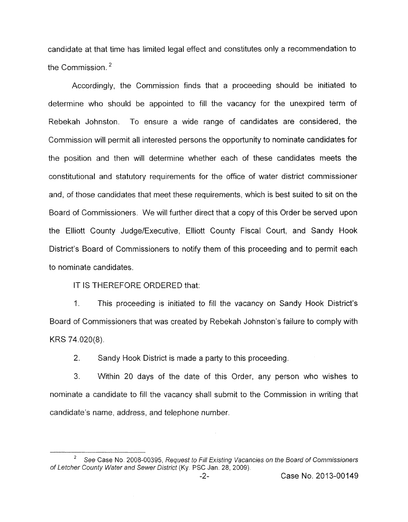candidate at that time has limited legal effect and constitutes only a recommendation to the Commission. $<sup>2</sup>$ </sup>

Accordingly, the Commission finds that a proceeding should be initiated to determine who should be appointed to fill the vacancy for the unexpired term of Rebekah Johnston. To ensure a wide range of candidates are considered, the Commission will permit all interested persons the opportunity to nominate candidates for the position and then will determine whether each of these candidates meets the constitutional and statutory requirements for the office of water district commissioner and, *of* those candidates that meet these requirements, which *is* best suited to sit on the Board of Commissioners. We will further direct that a copy of this Order be served upon the Elliott County Judge/Executive, Elliott County Fiscal Court, and Sandy Hook District's Board of Commissioners to notify them of this proceeding and to permit each to nominate candidates.

IT IS THEREFORE ORDERED that:

1. This proceeding is initiated to fill the vacancy on Sandy Hook District's Board of Commissioners that was created by Rebekah Johnston's failure to comply with KRS 74.020(8).

*2.*  Sandy Hook District is made a party to this proceeding.

*3.*  Within 20 days of the date of this Order, any person who wishes to nominate a candidate to fill the vacancy shall submit to the Commission in writing that candidate's name, address, and telephone number.

*See* Case **No.** 2008-00395, *Request to Fill Existing Vacancies on the Board of Commissioners 2 of Letcher County Water and Sewer District* (Ky. PSC Jan. 28, 2009).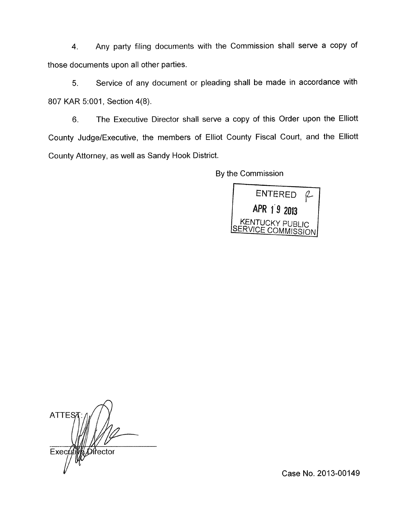4. Any party filing documents with the Commission shall serve a copy of those documents upon all other parties.

5. Service of any document or pleading shall be made in accordance with 807 KAR 5:001, Section 4(8).

6. The Executive Director shall serve a copy of this Order upon the Elliott County Judge/Executive, the members of Elliot County Fiscal Court, and the Elliott County Attorney, as well as Sandy Hook District.

By the Commission



 $\overline{a}$ **ATTES** Øir̂ector Exec

Case No. 2013-00149